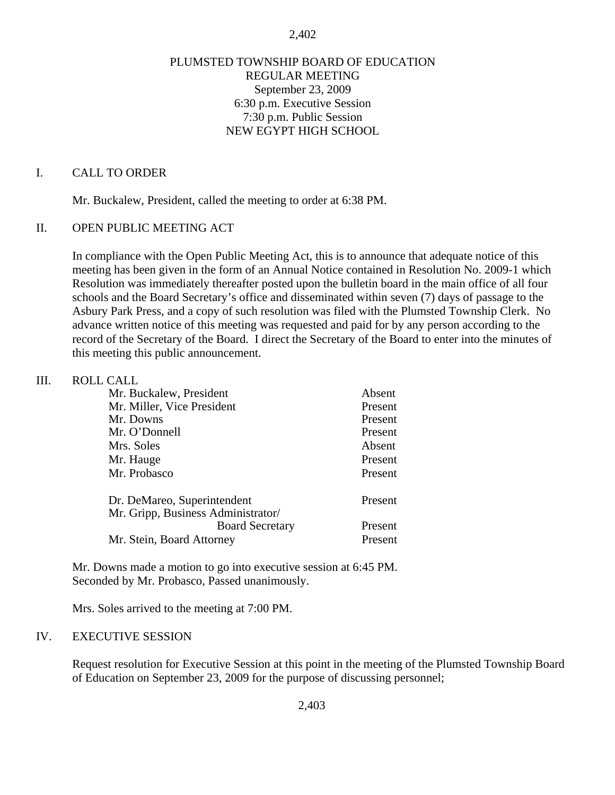#### 2,402

### PLUMSTED TOWNSHIP BOARD OF EDUCATION REGULAR MEETING September 23, 2009 6:30 p.m. Executive Session 7:30 p.m. Public Session NEW EGYPT HIGH SCHOOL

#### I. CALL TO ORDER

Mr. Buckalew, President, called the meeting to order at 6:38 PM.

### II. OPEN PUBLIC MEETING ACT

In compliance with the Open Public Meeting Act, this is to announce that adequate notice of this meeting has been given in the form of an Annual Notice contained in Resolution No. 2009-1 which Resolution was immediately thereafter posted upon the bulletin board in the main office of all four schools and the Board Secretary's office and disseminated within seven (7) days of passage to the Asbury Park Press, and a copy of such resolution was filed with the Plumsted Township Clerk. No advance written notice of this meeting was requested and paid for by any person according to the record of the Secretary of the Board. I direct the Secretary of the Board to enter into the minutes of this meeting this public announcement.

### III. ROLL CALL

| Mr. Buckalew, President            | Absent  |
|------------------------------------|---------|
| Mr. Miller, Vice President         | Present |
| Mr. Downs                          | Present |
| Mr. O'Donnell                      | Present |
| Mrs. Soles                         | Absent  |
| Mr. Hauge                          | Present |
| Mr. Probasco                       | Present |
| Dr. DeMareo, Superintendent        | Present |
| Mr. Gripp, Business Administrator/ |         |
| <b>Board Secretary</b>             | Present |
| Mr. Stein, Board Attorney          | Present |
|                                    |         |

 Mr. Downs made a motion to go into executive session at 6:45 PM. Seconded by Mr. Probasco, Passed unanimously.

Mrs. Soles arrived to the meeting at 7:00 PM.

#### IV. EXECUTIVE SESSION

Request resolution for Executive Session at this point in the meeting of the Plumsted Township Board of Education on September 23, 2009 for the purpose of discussing personnel;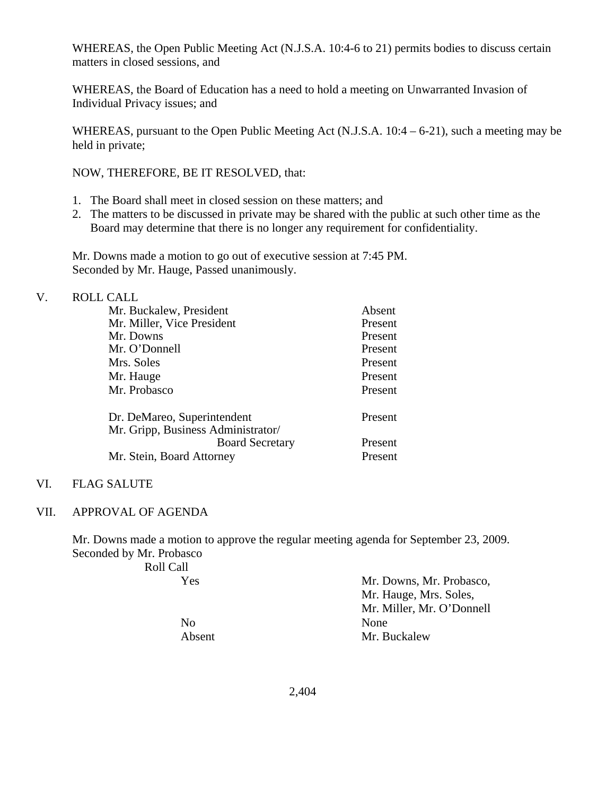WHEREAS, the Open Public Meeting Act (N.J.S.A. 10:4-6 to 21) permits bodies to discuss certain matters in closed sessions, and

WHEREAS, the Board of Education has a need to hold a meeting on Unwarranted Invasion of Individual Privacy issues; and

WHEREAS, pursuant to the Open Public Meeting Act (N.J.S.A. 10:4 – 6-21), such a meeting may be held in private;

NOW, THEREFORE, BE IT RESOLVED, that:

- 1. The Board shall meet in closed session on these matters; and
- 2. The matters to be discussed in private may be shared with the public at such other time as the Board may determine that there is no longer any requirement for confidentiality.

 Mr. Downs made a motion to go out of executive session at 7:45 PM. Seconded by Mr. Hauge, Passed unanimously.

| V. | <b>ROLL CALL</b>                   |         |
|----|------------------------------------|---------|
|    | Mr. Buckalew, President            | Absent  |
|    | Mr. Miller, Vice President         | Present |
|    | Mr. Downs                          | Present |
|    | Mr. O'Donnell                      | Present |
|    | Mrs. Soles                         | Present |
|    | Mr. Hauge                          | Present |
|    | Mr. Probasco                       | Present |
|    | Dr. DeMareo, Superintendent        | Present |
|    | Mr. Gripp, Business Administrator/ |         |
|    | <b>Board Secretary</b>             | Present |
|    | Mr. Stein, Board Attorney          | Present |

### VI. FLAG SALUTE

#### VII. APPROVAL OF AGENDA

Mr. Downs made a motion to approve the regular meeting agenda for September 23, 2009. Seconded by Mr. Probasco

| Roll Call |                           |
|-----------|---------------------------|
| Yes       | Mr. Downs, Mr. Probasco,  |
|           | Mr. Hauge, Mrs. Soles,    |
|           | Mr. Miller, Mr. O'Donnell |
| No        | None                      |
| Absent    | Mr. Buckalew              |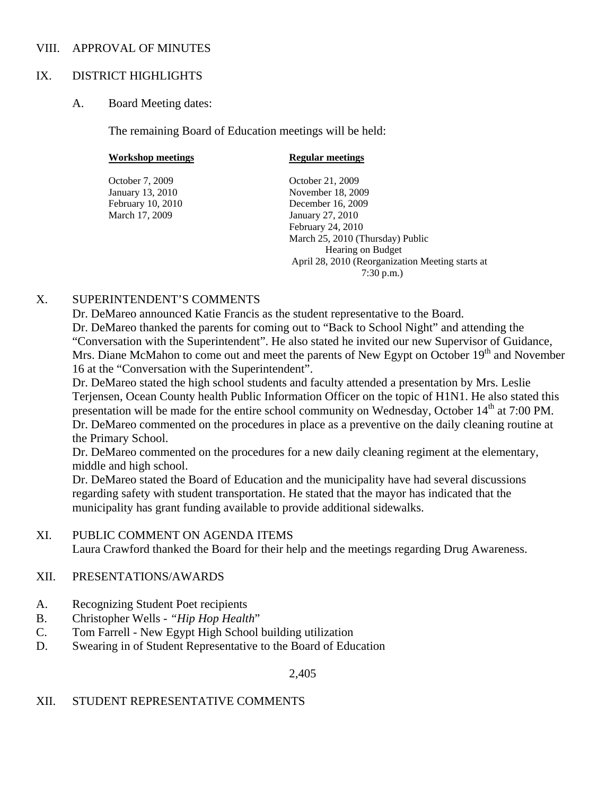### VIII. APPROVAL OF MINUTES

### IX. DISTRICT HIGHLIGHTS

### A. Board Meeting dates:

The remaining Board of Education meetings will be held:

| Workshop meetings | <b>Regular meetings</b>                          |
|-------------------|--------------------------------------------------|
| October 7, 2009   | October 21, 2009                                 |
| January 13, 2010  | November 18, 2009                                |
| February 10, 2010 | December 16, 2009                                |
| March 17, 2009    | January 27, 2010                                 |
|                   | February 24, 2010                                |
|                   | March 25, 2010 (Thursday) Public                 |
|                   | Hearing on Budget                                |
|                   | April 28, 2010 (Reorganization Meeting starts at |
|                   | $7:30$ p.m.)                                     |

### X. SUPERINTENDENT'S COMMENTS

 Dr. DeMareo announced Katie Francis as the student representative to the Board. Dr. DeMareo thanked the parents for coming out to "Back to School Night" and attending the "Conversation with the Superintendent". He also stated he invited our new Supervisor of Guidance, Mrs. Diane McMahon to come out and meet the parents of New Egypt on October 19<sup>th</sup> and November 16 at the "Conversation with the Superintendent".

Dr. DeMareo stated the high school students and faculty attended a presentation by Mrs. Leslie Terjensen, Ocean County health Public Information Officer on the topic of H1N1. He also stated this presentation will be made for the entire school community on Wednesday, October 14<sup>th</sup> at 7:00 PM. Dr. DeMareo commented on the procedures in place as a preventive on the daily cleaning routine at the Primary School.

Dr. DeMareo commented on the procedures for a new daily cleaning regiment at the elementary, middle and high school.

Dr. DeMareo stated the Board of Education and the municipality have had several discussions regarding safety with student transportation. He stated that the mayor has indicated that the municipality has grant funding available to provide additional sidewalks.

### XI. PUBLIC COMMENT ON AGENDA ITEMS

Laura Crawford thanked the Board for their help and the meetings regarding Drug Awareness.

## XII. PRESENTATIONS/AWARDS

- A. Recognizing Student Poet recipients
- B. Christopher Wells *"Hip Hop Health*"
- C. Tom Farrell New Egypt High School building utilization
- D. Swearing in of Student Representative to the Board of Education

2,405

## XII. STUDENT REPRESENTATIVE COMMENTS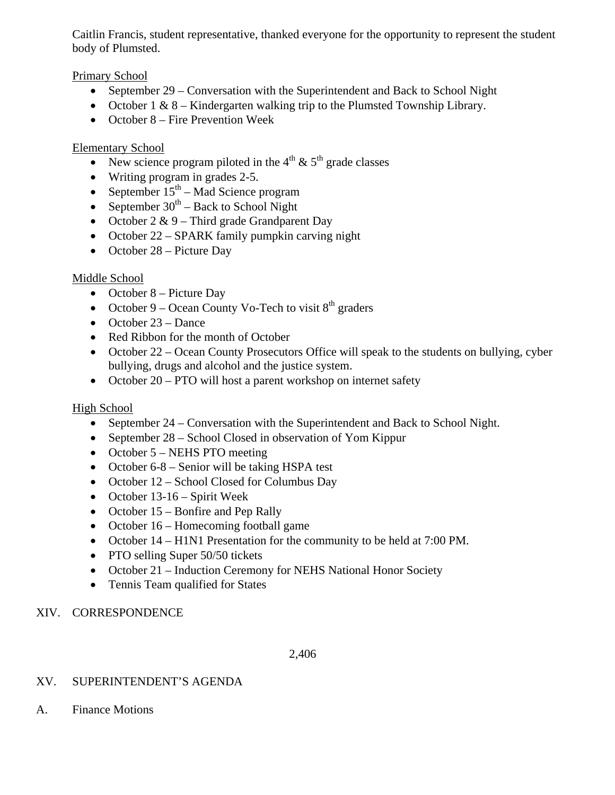Caitlin Francis, student representative, thanked everyone for the opportunity to represent the student body of Plumsted.

Primary School

- September 29 Conversation with the Superintendent and Back to School Night
- October  $1 \& 8$  Kindergarten walking trip to the Plumsted Township Library.
- October 8 Fire Prevention Week

# Elementary School

- New science program piloted in the  $4<sup>th</sup>$  &  $5<sup>th</sup>$  grade classes
- Writing program in grades 2-5.
- September  $15<sup>th</sup>$  Mad Science program
- September  $30^{th}$  Back to School Night
- October  $2 \& 9$  Third grade Grandparent Day
- October 22 SPARK family pumpkin carving night
- October 28 Picture Day

# Middle School

- October 8 Picture Day
- October 9 Ocean County Vo-Tech to visit  $8<sup>th</sup>$  graders
- October 23 Dance
- Red Ribbon for the month of October
- October 22 Ocean County Prosecutors Office will speak to the students on bullying, cyber bullying, drugs and alcohol and the justice system.
- October 20 PTO will host a parent workshop on internet safety

# High School

- September 24 Conversation with the Superintendent and Back to School Night.
- September 28 School Closed in observation of Yom Kippur
- October 5 NEHS PTO meeting
- October 6-8 Senior will be taking HSPA test
- October 12 School Closed for Columbus Day
- October 13-16 Spirit Week
- October 15 Bonfire and Pep Rally
- October 16 Homecoming football game
- October 14 H1N1 Presentation for the community to be held at 7:00 PM.
- PTO selling Super 50/50 tickets
- October 21 Induction Ceremony for NEHS National Honor Society
- Tennis Team qualified for States

# XIV. CORRESPONDENCE

## 2,406

# XV. SUPERINTENDENT'S AGENDA

A. Finance Motions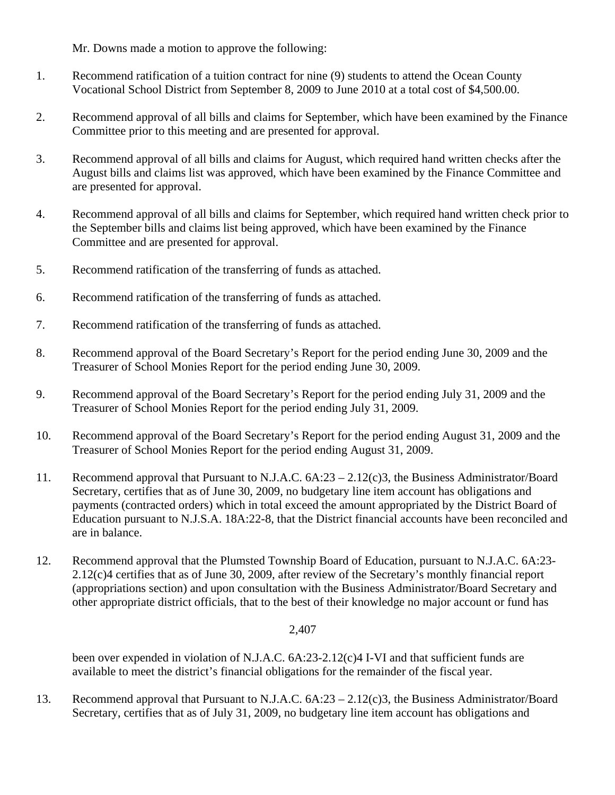Mr. Downs made a motion to approve the following:

- 1. Recommend ratification of a tuition contract for nine (9) students to attend the Ocean County Vocational School District from September 8, 2009 to June 2010 at a total cost of \$4,500.00.
- 2. Recommend approval of all bills and claims for September, which have been examined by the Finance Committee prior to this meeting and are presented for approval.
- 3. Recommend approval of all bills and claims for August, which required hand written checks after the August bills and claims list was approved, which have been examined by the Finance Committee and are presented for approval.
- 4. Recommend approval of all bills and claims for September, which required hand written check prior to the September bills and claims list being approved, which have been examined by the Finance Committee and are presented for approval.
- 5. Recommend ratification of the transferring of funds as attached.
- 6. Recommend ratification of the transferring of funds as attached.
- 7. Recommend ratification of the transferring of funds as attached.
- 8. Recommend approval of the Board Secretary's Report for the period ending June 30, 2009 and the Treasurer of School Monies Report for the period ending June 30, 2009.
- 9. Recommend approval of the Board Secretary's Report for the period ending July 31, 2009 and the Treasurer of School Monies Report for the period ending July 31, 2009.
- 10. Recommend approval of the Board Secretary's Report for the period ending August 31, 2009 and the Treasurer of School Monies Report for the period ending August 31, 2009.
- 11. Recommend approval that Pursuant to N.J.A.C. 6A:23 2.12(c)3, the Business Administrator/Board Secretary, certifies that as of June 30, 2009, no budgetary line item account has obligations and payments (contracted orders) which in total exceed the amount appropriated by the District Board of Education pursuant to N.J.S.A. 18A:22-8, that the District financial accounts have been reconciled and are in balance.
- 12. Recommend approval that the Plumsted Township Board of Education, pursuant to N.J.A.C. 6A:23- 2.12(c)4 certifies that as of June 30, 2009, after review of the Secretary's monthly financial report (appropriations section) and upon consultation with the Business Administrator/Board Secretary and other appropriate district officials, that to the best of their knowledge no major account or fund has

### 2,407

been over expended in violation of N.J.A.C. 6A:23-2.12(c)4 I-VI and that sufficient funds are available to meet the district's financial obligations for the remainder of the fiscal year.

13. Recommend approval that Pursuant to N.J.A.C. 6A:23 – 2.12(c)3, the Business Administrator/Board Secretary, certifies that as of July 31, 2009, no budgetary line item account has obligations and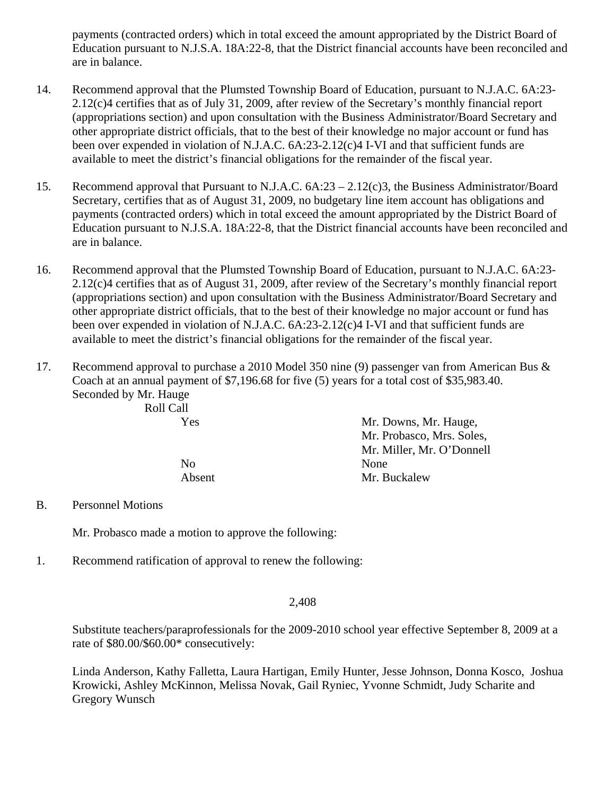payments (contracted orders) which in total exceed the amount appropriated by the District Board of Education pursuant to N.J.S.A. 18A:22-8, that the District financial accounts have been reconciled and are in balance.

- 14. Recommend approval that the Plumsted Township Board of Education, pursuant to N.J.A.C. 6A:23- 2.12(c)4 certifies that as of July 31, 2009, after review of the Secretary's monthly financial report (appropriations section) and upon consultation with the Business Administrator/Board Secretary and other appropriate district officials, that to the best of their knowledge no major account or fund has been over expended in violation of N.J.A.C. 6A:23-2.12(c)4 I-VI and that sufficient funds are available to meet the district's financial obligations for the remainder of the fiscal year.
- 15. Recommend approval that Pursuant to N.J.A.C. 6A:23 2.12(c)3, the Business Administrator/Board Secretary, certifies that as of August 31, 2009, no budgetary line item account has obligations and payments (contracted orders) which in total exceed the amount appropriated by the District Board of Education pursuant to N.J.S.A. 18A:22-8, that the District financial accounts have been reconciled and are in balance.
- 16. Recommend approval that the Plumsted Township Board of Education, pursuant to N.J.A.C. 6A:23- 2.12(c)4 certifies that as of August 31, 2009, after review of the Secretary's monthly financial report (appropriations section) and upon consultation with the Business Administrator/Board Secretary and other appropriate district officials, that to the best of their knowledge no major account or fund has been over expended in violation of N.J.A.C. 6A:23-2.12(c)4 I-VI and that sufficient funds are available to meet the district's financial obligations for the remainder of the fiscal year.
- 17. Recommend approval to purchase a 2010 Model 350 nine (9) passenger van from American Bus & Coach at an annual payment of \$7,196.68 for five (5) years for a total cost of \$35,983.40. Seconded by Mr. Hauge Roll Call

| Mr. Downs, Mr. Hauge,     |
|---------------------------|
| Mr. Probasco, Mrs. Soles, |
| Mr. Miller, Mr. O'Donnell |
| None                      |
| Mr. Buckalew              |
|                           |

B. Personnel Motions

Mr. Probasco made a motion to approve the following:

1. Recommend ratification of approval to renew the following:

2,408

Substitute teachers/paraprofessionals for the 2009-2010 school year effective September 8, 2009 at a rate of \$80.00/\$60.00\* consecutively:

Linda Anderson, Kathy Falletta, Laura Hartigan, Emily Hunter, Jesse Johnson, Donna Kosco, Joshua Krowicki, Ashley McKinnon, Melissa Novak, Gail Ryniec, Yvonne Schmidt, Judy Scharite and Gregory Wunsch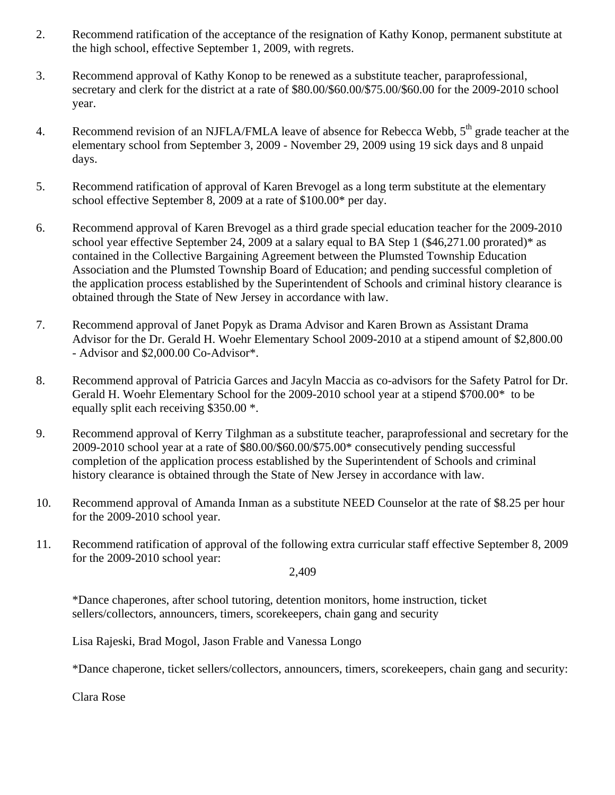- 2. Recommend ratification of the acceptance of the resignation of Kathy Konop, permanent substitute at the high school, effective September 1, 2009, with regrets.
- 3. Recommend approval of Kathy Konop to be renewed as a substitute teacher, paraprofessional, secretary and clerk for the district at a rate of \$80.00/\$60.00/\$75.00/\$60.00 for the 2009-2010 school year.
- 4. Recommend revision of an NJFLA/FMLA leave of absence for Rebecca Webb,  $5<sup>th</sup>$  grade teacher at the elementary school from September 3, 2009 - November 29, 2009 using 19 sick days and 8 unpaid days.
- 5. Recommend ratification of approval of Karen Brevogel as a long term substitute at the elementary school effective September 8, 2009 at a rate of \$100.00\* per day.
- 6. Recommend approval of Karen Brevogel as a third grade special education teacher for the 2009-2010 school year effective September 24, 2009 at a salary equal to BA Step 1 (\$46,271.00 prorated)\* as contained in the Collective Bargaining Agreement between the Plumsted Township Education Association and the Plumsted Township Board of Education; and pending successful completion of the application process established by the Superintendent of Schools and criminal history clearance is obtained through the State of New Jersey in accordance with law.
- 7. Recommend approval of Janet Popyk as Drama Advisor and Karen Brown as Assistant Drama Advisor for the Dr. Gerald H. Woehr Elementary School 2009-2010 at a stipend amount of \$2,800.00 - Advisor and \$2,000.00 Co-Advisor\*.
- 8. Recommend approval of Patricia Garces and Jacyln Maccia as co-advisors for the Safety Patrol for Dr. Gerald H. Woehr Elementary School for the 2009-2010 school year at a stipend \$700.00\* to be equally split each receiving \$350.00 \*.
- 9. Recommend approval of Kerry Tilghman as a substitute teacher, paraprofessional and secretary for the 2009-2010 school year at a rate of \$80.00/\$60.00/\$75.00\* consecutively pending successful completion of the application process established by the Superintendent of Schools and criminal history clearance is obtained through the State of New Jersey in accordance with law.
- 10. Recommend approval of Amanda Inman as a substitute NEED Counselor at the rate of \$8.25 per hour for the 2009-2010 school year.
- 11. Recommend ratification of approval of the following extra curricular staff effective September 8, 2009 for the 2009-2010 school year:

2,409

 \*Dance chaperones, after school tutoring, detention monitors, home instruction, ticket sellers/collectors, announcers, timers, scorekeepers, chain gang and security

Lisa Rajeski, Brad Mogol, Jason Frable and Vanessa Longo

\*Dance chaperone, ticket sellers/collectors, announcers, timers, scorekeepers, chain gang and security:

Clara Rose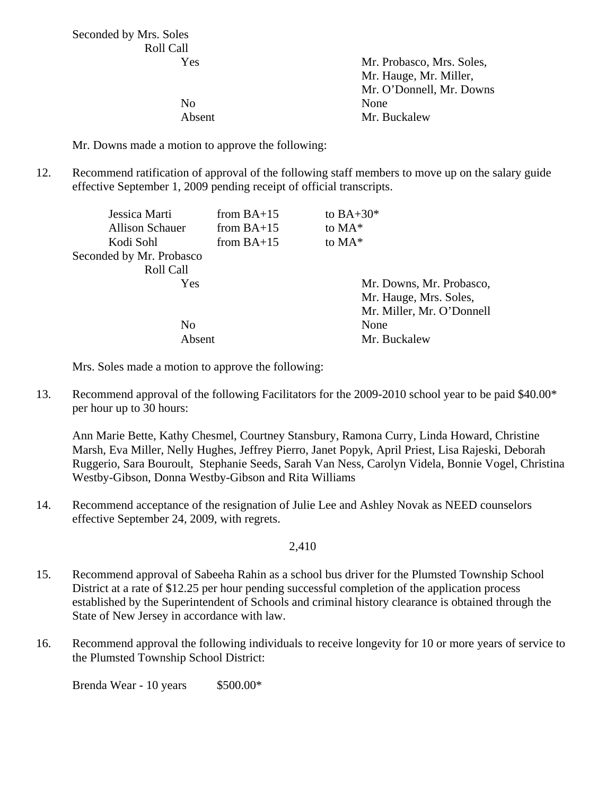Seconded by Mrs. Soles Roll Call

 Yes Mr. Probasco, Mrs. Soles, Mr. Hauge, Mr. Miller, Mr. O'Donnell, Mr. Downs No None Absent Mr. Buckalew

Mr. Downs made a motion to approve the following:

12. Recommend ratification of approval of the following staff members to move up on the salary guide effective September 1, 2009 pending receipt of official transcripts.

| Jessica Marti            | from $BA+15$ | to $BA+30*$               |
|--------------------------|--------------|---------------------------|
| <b>Allison Schauer</b>   | from $BA+15$ | to MA*                    |
| Kodi Sohl                | from $BA+15$ | to $MA^*$                 |
| Seconded by Mr. Probasco |              |                           |
| Roll Call                |              |                           |
| Yes                      |              | Mr. Downs, Mr. Probasco,  |
|                          |              | Mr. Hauge, Mrs. Soles,    |
|                          |              | Mr. Miller, Mr. O'Donnell |
| N <sub>0</sub>           |              | None                      |
| Absent                   |              | Mr. Buckalew              |

Mrs. Soles made a motion to approve the following:

13. Recommend approval of the following Facilitators for the 2009-2010 school year to be paid \$40.00\* per hour up to 30 hours:

 Ann Marie Bette, Kathy Chesmel, Courtney Stansbury, Ramona Curry, Linda Howard, Christine Marsh, Eva Miller, Nelly Hughes, Jeffrey Pierro, Janet Popyk, April Priest, Lisa Rajeski, Deborah Ruggerio, Sara Bouroult, Stephanie Seeds, Sarah Van Ness, Carolyn Videla, Bonnie Vogel, Christina Westby-Gibson, Donna Westby-Gibson and Rita Williams

14. Recommend acceptance of the resignation of Julie Lee and Ashley Novak as NEED counselors effective September 24, 2009, with regrets.

2,410

- 15. Recommend approval of Sabeeha Rahin as a school bus driver for the Plumsted Township School District at a rate of \$12.25 per hour pending successful completion of the application process established by the Superintendent of Schools and criminal history clearance is obtained through the State of New Jersey in accordance with law.
- 16. Recommend approval the following individuals to receive longevity for 10 or more years of service to the Plumsted Township School District:

Brenda Wear -  $10$  years \$500.00\*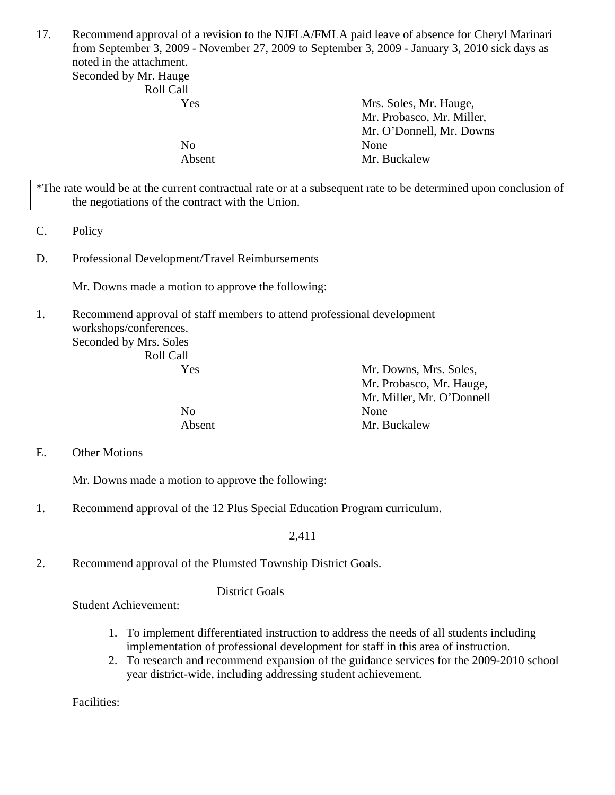17. Recommend approval of a revision to the NJFLA/FMLA paid leave of absence for Cheryl Marinari from September 3, 2009 - November 27, 2009 to September 3, 2009 - January 3, 2010 sick days as noted in the attachment.

Seconded by Mr. Hauge Roll Call

| <b>IVAN CAN</b> |                           |
|-----------------|---------------------------|
| Yes             | Mrs. Soles, Mr. Hauge,    |
|                 | Mr. Probasco, Mr. Miller, |
|                 | Mr. O'Donnell, Mr. Downs  |
| No              | None                      |
| Absent          | Mr. Buckalew              |
|                 |                           |

\*The rate would be at the current contractual rate or at a subsequent rate to be determined upon conclusion of the negotiations of the contract with the Union.

- C. Policy
- D. Professional Development/Travel Reimbursements

Mr. Downs made a motion to approve the following:

1. Recommend approval of staff members to attend professional development workshops/conferences. Seconded by Mrs. Soles Roll Call

| Yes    | Mr. Downs, Mrs. Soles,    |
|--------|---------------------------|
|        | Mr. Probasco, Mr. Hauge,  |
|        | Mr. Miller, Mr. O'Donnell |
| No     | None                      |
| Absent | Mr. Buckalew              |

E. Other Motions

Mr. Downs made a motion to approve the following:

1. Recommend approval of the 12 Plus Special Education Program curriculum.

2,411

2. Recommend approval of the Plumsted Township District Goals.

### District Goals

Student Achievement:

- 1. To implement differentiated instruction to address the needs of all students including implementation of professional development for staff in this area of instruction.
- 2. To research and recommend expansion of the guidance services for the 2009-2010 school year district-wide, including addressing student achievement.

Facilities: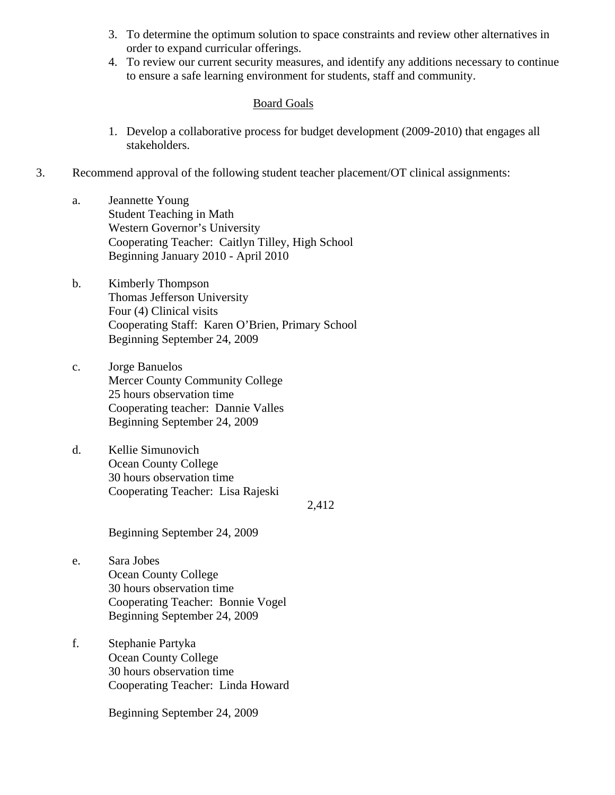- 3. To determine the optimum solution to space constraints and review other alternatives in order to expand curricular offerings.
- 4. To review our current security measures, and identify any additions necessary to continue to ensure a safe learning environment for students, staff and community.

### Board Goals

- 1. Develop a collaborative process for budget development (2009-2010) that engages all stakeholders.
- 3. Recommend approval of the following student teacher placement/OT clinical assignments:
	- a. Jeannette Young Student Teaching in Math Western Governor's University Cooperating Teacher: Caitlyn Tilley, High School Beginning January 2010 - April 2010
	- b. Kimberly Thompson Thomas Jefferson University Four (4) Clinical visits Cooperating Staff: Karen O'Brien, Primary School Beginning September 24, 2009
	- c. Jorge Banuelos Mercer County Community College 25 hours observation time Cooperating teacher: Dannie Valles Beginning September 24, 2009
	- d. Kellie Simunovich Ocean County College 30 hours observation time Cooperating Teacher: Lisa Rajeski

2,412

Beginning September 24, 2009

- e. Sara Jobes Ocean County College 30 hours observation time Cooperating Teacher: Bonnie Vogel Beginning September 24, 2009
- f. Stephanie Partyka Ocean County College 30 hours observation time Cooperating Teacher: Linda Howard

Beginning September 24, 2009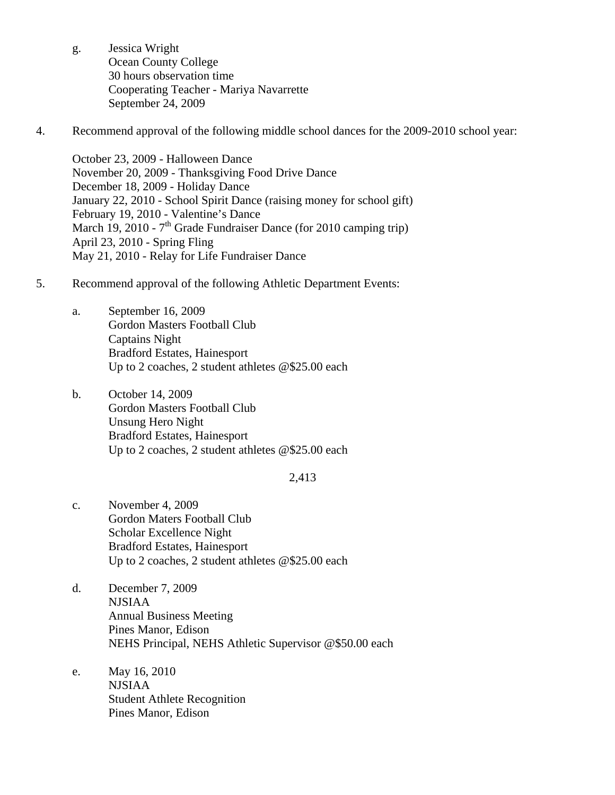- g. Jessica Wright Ocean County College 30 hours observation time Cooperating Teacher - Mariya Navarrette September 24, 2009
- 4. Recommend approval of the following middle school dances for the 2009-2010 school year:

October 23, 2009 - Halloween Dance November 20, 2009 - Thanksgiving Food Drive Dance December 18, 2009 - Holiday Dance January 22, 2010 - School Spirit Dance (raising money for school gift) February 19, 2010 - Valentine's Dance March 19, 2010 -  $7<sup>th</sup>$  Grade Fundraiser Dance (for 2010 camping trip) April 23, 2010 - Spring Fling May 21, 2010 - Relay for Life Fundraiser Dance

- 5. Recommend approval of the following Athletic Department Events:
	- a. September 16, 2009 Gordon Masters Football Club Captains Night Bradford Estates, Hainesport Up to 2 coaches, 2 student athletes @\$25.00 each
	- b. October 14, 2009 Gordon Masters Football Club Unsung Hero Night Bradford Estates, Hainesport Up to 2 coaches, 2 student athletes @\$25.00 each

#### 2,413

- c. November 4, 2009 Gordon Maters Football Club Scholar Excellence Night Bradford Estates, Hainesport Up to 2 coaches, 2 student athletes @\$25.00 each
- d. December 7, 2009 NJSIAA Annual Business Meeting Pines Manor, Edison NEHS Principal, NEHS Athletic Supervisor @\$50.00 each
- e. May 16, 2010 NJSIAA Student Athlete Recognition Pines Manor, Edison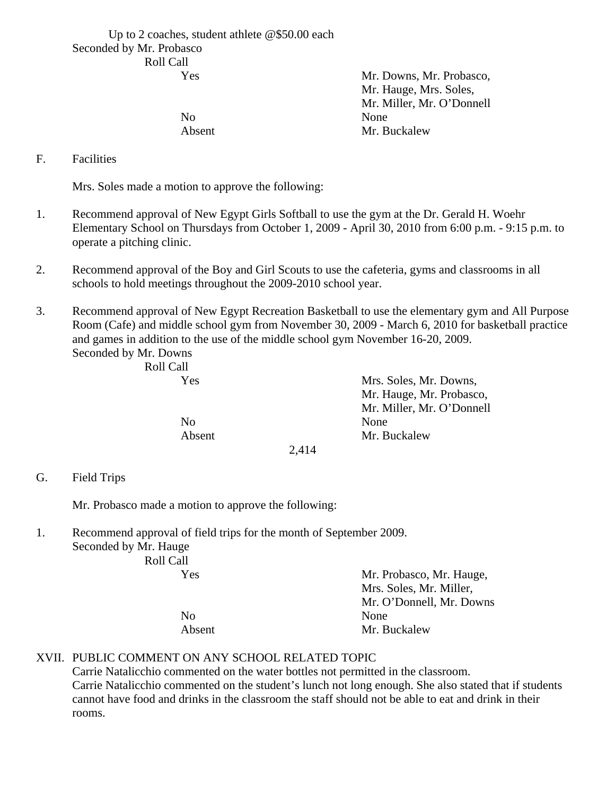Up to 2 coaches, student athlete @\$50.00 each Seconded by Mr. Probasco Roll Call

| Mr. Downs, Mr. Probasco,  |
|---------------------------|
| Mr. Hauge, Mrs. Soles,    |
| Mr. Miller, Mr. O'Donnell |
| None                      |
| Mr. Buckalew              |
|                           |

F. Facilities

Mrs. Soles made a motion to approve the following:

- 1. Recommend approval of New Egypt Girls Softball to use the gym at the Dr. Gerald H. Woehr Elementary School on Thursdays from October 1, 2009 - April 30, 2010 from 6:00 p.m. - 9:15 p.m. to operate a pitching clinic.
- 2. Recommend approval of the Boy and Girl Scouts to use the cafeteria, gyms and classrooms in all schools to hold meetings throughout the 2009-2010 school year.
- 3. Recommend approval of New Egypt Recreation Basketball to use the elementary gym and All Purpose Room (Cafe) and middle school gym from November 30, 2009 - March 6, 2010 for basketball practice and games in addition to the use of the middle school gym November 16-20, 2009.

Seconded by Mr. Downs Roll Call

| ROIL CAIL |                           |
|-----------|---------------------------|
| Yes       | Mrs. Soles, Mr. Downs,    |
|           | Mr. Hauge, Mr. Probasco,  |
|           | Mr. Miller, Mr. O'Donnell |
| No        | None                      |
| Absent    | Mr. Buckalew              |
|           | 2.11A                     |

#### 2,414

G. Field Trips

Mr. Probasco made a motion to approve the following:

- 1. Recommend approval of field trips for the month of September 2009.
	- Seconded by Mr. Hauge Roll Ca

| Roll Call |        |                          |
|-----------|--------|--------------------------|
|           | Yes    | Mr. Probasco, Mr. Hauge, |
|           |        | Mrs. Soles, Mr. Miller,  |
|           |        | Mr. O'Donnell, Mr. Downs |
|           | No     | None                     |
|           | Absent | Mr. Buckalew             |

## XVII. PUBLIC COMMENT ON ANY SCHOOL RELATED TOPIC

Carrie Natalicchio commented on the water bottles not permitted in the classroom. Carrie Natalicchio commented on the student's lunch not long enough. She also stated that if students cannot have food and drinks in the classroom the staff should not be able to eat and drink in their rooms.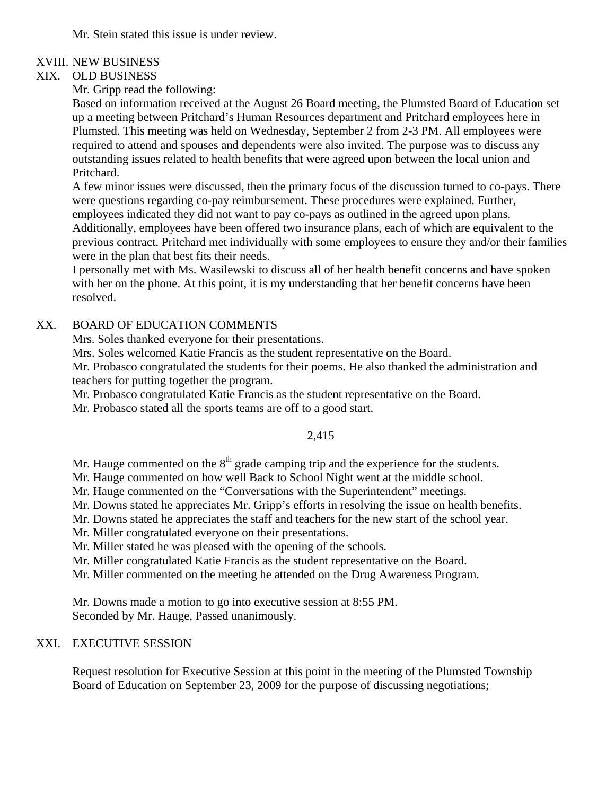Mr. Stein stated this issue is under review.

## XVIII. NEW BUSINESS

## XIX. OLD BUSINESS

Mr. Gripp read the following:

Based on information received at the August 26 Board meeting, the Plumsted Board of Education set up a meeting between Pritchard's Human Resources department and Pritchard employees here in Plumsted. This meeting was held on Wednesday, September 2 from 2-3 PM. All employees were required to attend and spouses and dependents were also invited. The purpose was to discuss any outstanding issues related to health benefits that were agreed upon between the local union and Pritchard.

A few minor issues were discussed, then the primary focus of the discussion turned to co-pays. There were questions regarding co-pay reimbursement. These procedures were explained. Further, employees indicated they did not want to pay co-pays as outlined in the agreed upon plans. Additionally, employees have been offered two insurance plans, each of which are equivalent to the previous contract. Pritchard met individually with some employees to ensure they and/or their families were in the plan that best fits their needs.

I personally met with Ms. Wasilewski to discuss all of her health benefit concerns and have spoken with her on the phone. At this point, it is my understanding that her benefit concerns have been resolved.

## XX. BOARD OF EDUCATION COMMENTS

Mrs. Soles thanked everyone for their presentations.

Mrs. Soles welcomed Katie Francis as the student representative on the Board.

Mr. Probasco congratulated the students for their poems. He also thanked the administration and teachers for putting together the program.

Mr. Probasco congratulated Katie Francis as the student representative on the Board.

Mr. Probasco stated all the sports teams are off to a good start.

# 2,415

Mr. Hauge commented on the  $8<sup>th</sup>$  grade camping trip and the experience for the students.

Mr. Hauge commented on how well Back to School Night went at the middle school.

Mr. Hauge commented on the "Conversations with the Superintendent" meetings.

Mr. Downs stated he appreciates Mr. Gripp's efforts in resolving the issue on health benefits.

Mr. Downs stated he appreciates the staff and teachers for the new start of the school year.

Mr. Miller congratulated everyone on their presentations.

Mr. Miller stated he was pleased with the opening of the schools.

Mr. Miller congratulated Katie Francis as the student representative on the Board.

Mr. Miller commented on the meeting he attended on the Drug Awareness Program.

Mr. Downs made a motion to go into executive session at 8:55 PM. Seconded by Mr. Hauge, Passed unanimously.

## XXI. EXECUTIVE SESSION

Request resolution for Executive Session at this point in the meeting of the Plumsted Township Board of Education on September 23, 2009 for the purpose of discussing negotiations;